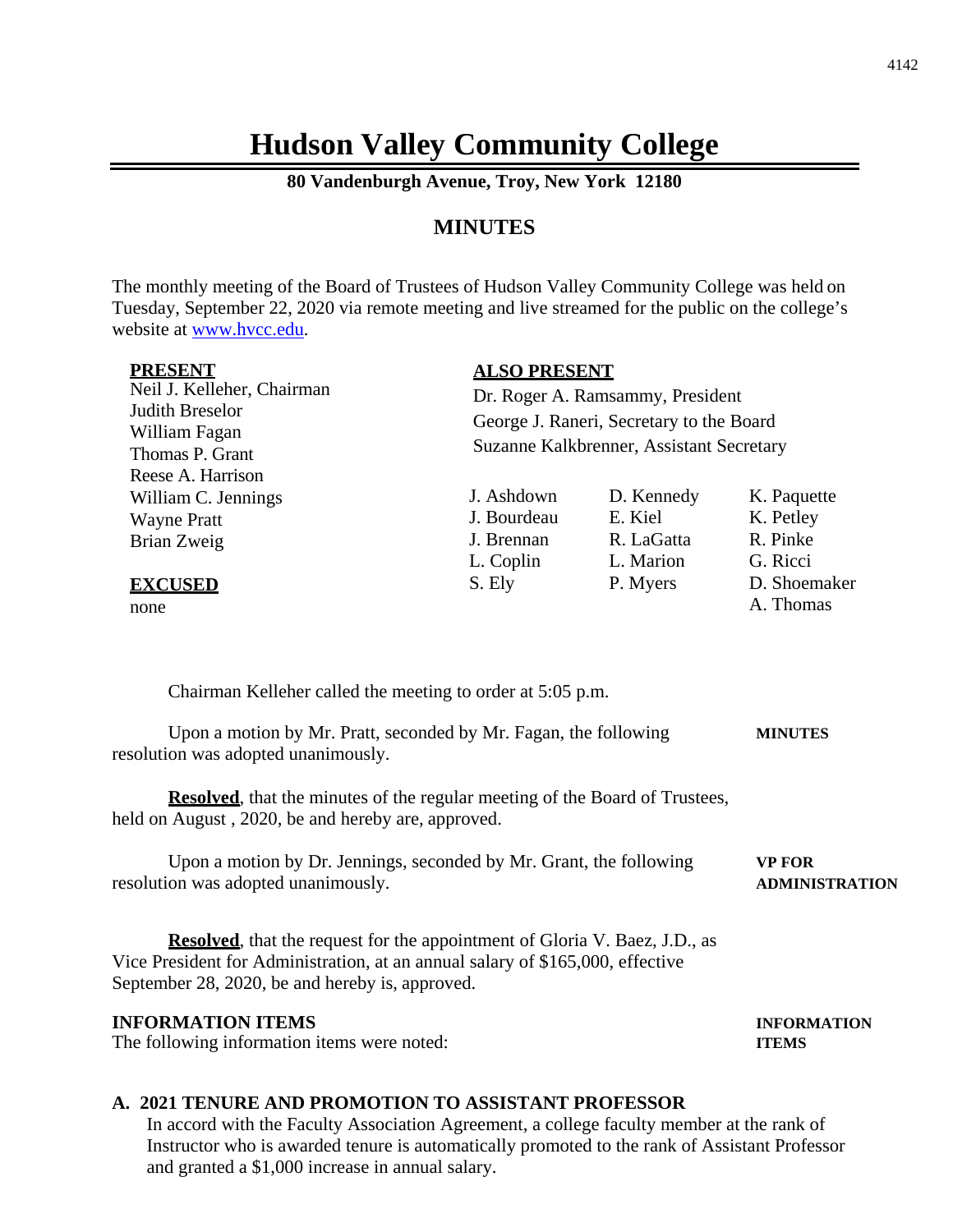# **Hudson Valley Community College**

**80 Vandenburgh Avenue, Troy, New York 12180**

## **MINUTES**

The monthly meeting of the Board of Trustees of Hudson Valley Community College was held on Tuesday, September 22, 2020 via remote meeting and live streamed for the public on the college's website at [www.hvcc.edu.](http://www.hvcc.edu/)

| <b>PRESENT</b>                                                                                                                                                                                                                                       | <b>ALSO PRESENT</b>                      |            |                                        |  |  |
|------------------------------------------------------------------------------------------------------------------------------------------------------------------------------------------------------------------------------------------------------|------------------------------------------|------------|----------------------------------------|--|--|
| Neil J. Kelleher, Chairman                                                                                                                                                                                                                           | Dr. Roger A. Ramsammy, President         |            |                                        |  |  |
| <b>Judith Breselor</b>                                                                                                                                                                                                                               | George J. Raneri, Secretary to the Board |            |                                        |  |  |
| William Fagan<br>Thomas P. Grant                                                                                                                                                                                                                     | Suzanne Kalkbrenner, Assistant Secretary |            |                                        |  |  |
| Reese A. Harrison                                                                                                                                                                                                                                    |                                          |            |                                        |  |  |
| William C. Jennings                                                                                                                                                                                                                                  | J. Ashdown                               | D. Kennedy | K. Paquette                            |  |  |
| <b>Wayne Pratt</b>                                                                                                                                                                                                                                   | J. Bourdeau                              | E. Kiel    | K. Petley                              |  |  |
| Brian Zweig                                                                                                                                                                                                                                          | J. Brennan                               | R. LaGatta | R. Pinke                               |  |  |
|                                                                                                                                                                                                                                                      | L. Coplin                                | L. Marion  | G. Ricci                               |  |  |
| <b>EXCUSED</b>                                                                                                                                                                                                                                       | S. Ely                                   | P. Myers   | D. Shoemaker                           |  |  |
| none                                                                                                                                                                                                                                                 |                                          |            | A. Thomas                              |  |  |
| Upon a motion by Mr. Pratt, seconded by Mr. Fagan, the following<br>resolution was adopted unanimously.<br><b>Resolved</b> , that the minutes of the regular meeting of the Board of Trustees,<br>held on August, 2020, be and hereby are, approved. |                                          |            | <b>MINUTES</b>                         |  |  |
| Upon a motion by Dr. Jennings, seconded by Mr. Grant, the following<br>resolution was adopted unanimously.                                                                                                                                           |                                          |            | <b>VP FOR</b><br><b>ADMINISTRATION</b> |  |  |
| <b>Resolved</b> , that the request for the appointment of Gloria V. Baez, J.D., as<br>Vice President for Administration, at an annual salary of \$165,000, effective<br>September 28, 2020, be and hereby is, approved.                              |                                          |            |                                        |  |  |
| <b>INFORMATION ITEMS</b><br>The following information items were noted:                                                                                                                                                                              |                                          |            | <b>INFORMATION</b><br><b>ITEMS</b>     |  |  |
|                                                                                                                                                                                                                                                      |                                          |            |                                        |  |  |

#### **A. 2021 TENURE AND PROMOTION TO ASSISTANT PROFESSOR**

In accord with the Faculty Association Agreement, a college faculty member at the rank of Instructor who is awarded tenure is automatically promoted to the rank of Assistant Professor and granted a \$1,000 increase in annual salary.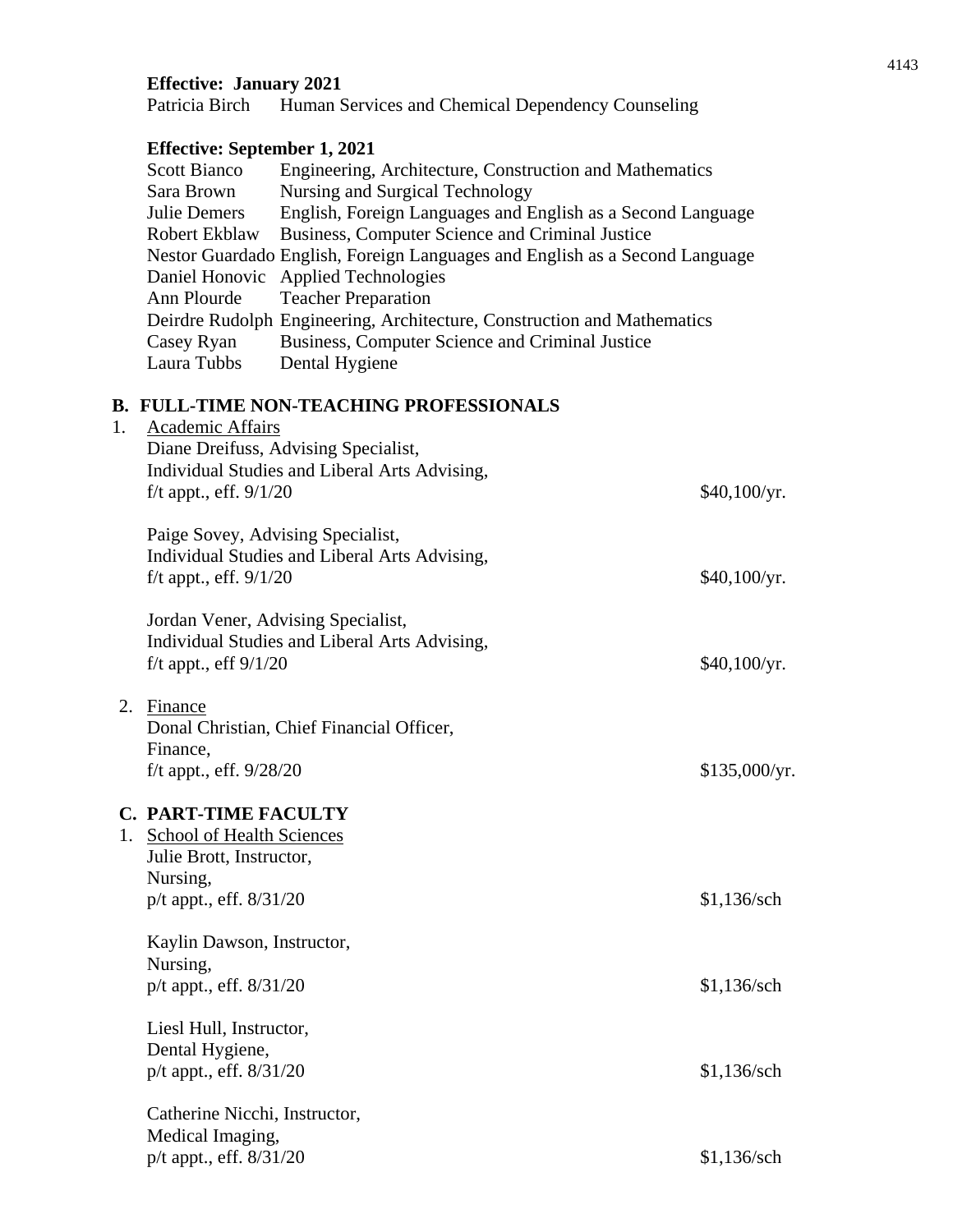## **Effective: January 2021**

Patricia Birch Human Services and Chemical Dependency Counseling

## **Effective: September 1, 2021**

| <b>Scott Bianco</b> | Engineering, Architecture, Construction and Mathematics                     |
|---------------------|-----------------------------------------------------------------------------|
| Sara Brown          | Nursing and Surgical Technology                                             |
| <b>Julie Demers</b> | English, Foreign Languages and English as a Second Language                 |
| Robert Ekblaw       | Business, Computer Science and Criminal Justice                             |
|                     | Nestor Guardado English, Foreign Languages and English as a Second Language |
|                     | Daniel Honovic Applied Technologies                                         |
| Ann Plourde         | <b>Teacher Preparation</b>                                                  |
|                     | Deirdre Rudolph Engineering, Architecture, Construction and Mathematics     |
| Casey Ryan          | Business, Computer Science and Criminal Justice                             |
| Laura Tubbs         | Dental Hygiene                                                              |

# **B. FULL-TIME NON-TEACHING PROFESSIONALS**

| 1. | <b>Academic Affairs</b><br>Diane Dreifuss, Advising Specialist,<br>Individual Studies and Liberal Arts Advising,<br>f/t appt., eff. $9/1/20$ | \$40,100/yr.  |
|----|----------------------------------------------------------------------------------------------------------------------------------------------|---------------|
|    | Paige Sovey, Advising Specialist,<br>Individual Studies and Liberal Arts Advising,<br>$f/t$ appt., eff. $9/1/20$                             | \$40,100/yr.  |
|    | Jordan Vener, Advising Specialist,<br>Individual Studies and Liberal Arts Advising,<br>f/t appt., eff $9/1/20$                               | \$40,100/yr.  |
| 2. | Finance<br>Donal Christian, Chief Financial Officer,<br>Finance,<br>$f/t$ appt., eff. $9/28/20$                                              | \$135,000/yr. |
|    | <b>C. PART-TIME FACULTY</b><br>1. School of Health Sciences<br>Julie Brott, Instructor,<br>Nursing,<br>p/t appt., eff. 8/31/20               | \$1,136/sch   |
|    | Kaylin Dawson, Instructor,<br>Nursing,<br>p/t appt., eff. 8/31/20                                                                            | \$1,136/sch   |
|    | Liesl Hull, Instructor,<br>Dental Hygiene,<br>p/t appt., eff. 8/31/20                                                                        | \$1,136/sch   |
|    | Catherine Nicchi, Instructor,<br>Medical Imaging,<br>p/t appt., eff. 8/31/20                                                                 | \$1,136/sch   |